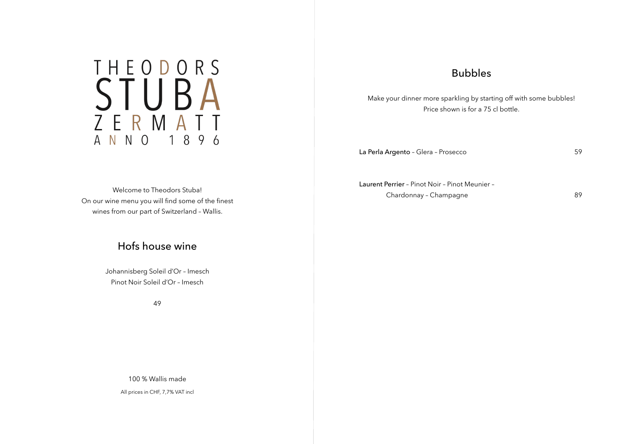# THEODORS STUBAT A N N O 1 8 9 6

## Bubbles

Make your dinner more sparkling by starting off with some bubbles! Price shown is for a 75 cl bottle.

La Perla Argento – Glera – Prosecco 59

Laurent Perrier – Pinot Noir – Pinot Meunier – Chardonnay - Champagne 89

Welcome to Theodors Stuba! On our wine menu you will find some of the finest wines from our part of Switzerland – Wallis.

## Hofs house wine

Johannisberg Soleil d'Or – Imesch Pinot Noir Soleil d'Or – Imesch

49

100 % Wallis made

All prices in CHF, 7,7% VAT incl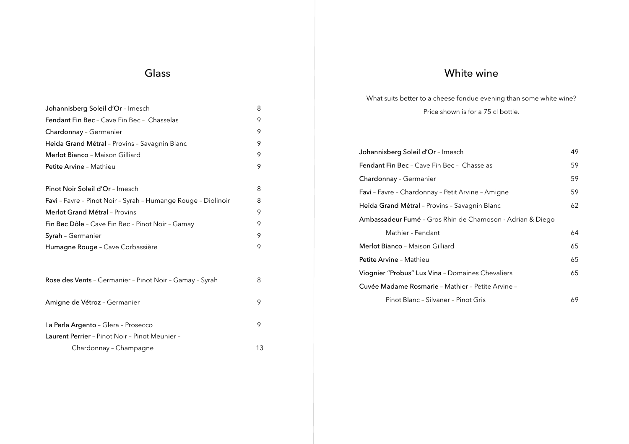# White wine

What suits better to a cheese fondue evening than some white wine? Price shown is for a 75 cl bottle.

| Johannisberg Soleil d'Or - Imesch                                | 49 |
|------------------------------------------------------------------|----|
| <b>Fendant Fin Bec</b> - Cave Fin Bec - Chasselas                | 59 |
| <b>Chardonnay</b> - Germanier                                    | 59 |
| <b>Favi</b> - Favre - Chardonnay - Petit Arvine - Amigne         | 59 |
| Heida Grand Métral - Provins - Savagnin Blanc                    | 62 |
| <b>Ambassadeur Fumé</b> - Gros Rhin de Chamoson - Adrian & Diego |    |
| Mathier - Fendant                                                | 64 |
| <b>Merlot Bianco</b> - Maison Gilliard                           | 65 |
| <b>Petite Arvine</b> - Mathieu                                   | 65 |
| Viognier "Probus" Lux Vina - Domaines Chevaliers                 | 65 |
| <b>Cuvée Madame Rosmarie</b> - Mathier - Petite Arvine -         |    |
| Pinot Blanc - Silvaner - Pinot Gris                              | 69 |

# Glass

| Johannisberg Soleil d'Or - Imesch                             | 8  |
|---------------------------------------------------------------|----|
| <b>Fendant Fin Bec</b> - Cave Fin Bec - Chasselas             | 9  |
| Chardonnay - Germanier                                        | 9  |
| Heida Grand Métral - Provins - Savagnin Blanc                 | 9  |
| Merlot Bianco - Maison Gilliard                               | 9  |
| Petite Arvine - Mathieu                                       | 9  |
|                                                               |    |
| <b>Pinot Noir Soleil d'Or</b> - Imesch                        | 8  |
| Favi - Favre - Pinot Noir - Syrah - Humange Rouge - Diolinoir | 8  |
| <b>Merlot Grand Métral</b> - Provins                          | 9  |
| Fin Bec Dôle - Cave Fin Bec - Pinot Noir - Gamay              | 9  |
| <b>Syrah</b> - Germanier                                      | 9  |
| Humagne Rouge - Cave Corbassière                              | 9  |
|                                                               |    |
| Rose des Vents - Germanier - Pinot Noir - Gamay - Syrah       | 8  |
|                                                               |    |
| Amigne de Vétroz - Germanier                                  | 9  |
| La Perla Argento - Glera - Prosecco                           | 9  |
| Laurent Perrier - Pinot Noir - Pinot Meunier -                |    |
| Chardonnay - Champagne                                        | 13 |